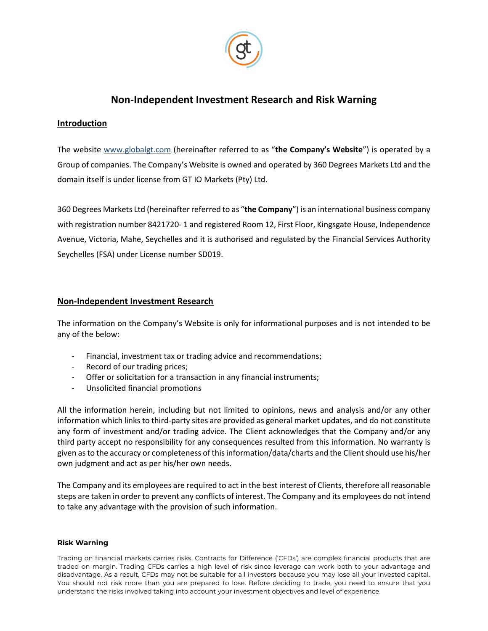

# **Non-Independent Investment Research and Risk Warning**

## **Introduction**

The website [www.globalgt.com](http://www.globalgt.com/) (hereinafter referred to as "**the Company's Website**") is operated by a Group of companies. The Company's Website is owned and operated by 360 Degrees Markets Ltd and the domain itself is under license from GT IO Markets (Pty) Ltd.

360 Degrees Markets Ltd (hereinafter referred to as "**the Company**") is an international business company with registration number 8421720- 1 and registered Room 12, First Floor, Kingsgate House, Independence Avenue, Victoria, Mahe, Seychelles and it is authorised and regulated by the Financial Services Authority Seychelles (FSA) under License number SD019.

## **Non-Independent Investment Research**

The information on the Company's Website is only for informational purposes and is not intended to be any of the below:

- Financial, investment tax or trading advice and recommendations;
- Record of our trading prices;
- Offer or solicitation for a transaction in any financial instruments;
- Unsolicited financial promotions

All the information herein, including but not limited to opinions, news and analysis and/or any other information which links to third-party sites are provided as general market updates, and do not constitute any form of investment and/or trading advice. The Client acknowledges that the Company and/or any third party accept no responsibility for any consequences resulted from this information. No warranty is given as to the accuracy or completeness of this information/data/charts and the Client should use his/her own judgment and act as per his/her own needs.

The Company and its employees are required to act in the best interest of Clients, therefore all reasonable steps are taken in order to prevent any conflicts of interest. The Company and its employees do not intend to take any advantage with the provision of such information.

#### **Risk Warning**

Trading on financial markets carries risks. Contracts for Difference ('CFDs') are complex financial products that are traded on margin. Trading CFDs carries a high level of risk since leverage can work both to your advantage and disadvantage. As a result, CFDs may not be suitable for all investors because you may lose all your invested capital. You should not risk more than you are prepared to lose. Before deciding to trade, you need to ensure that you understand the risks involved taking into account your investment objectives and level of experience.